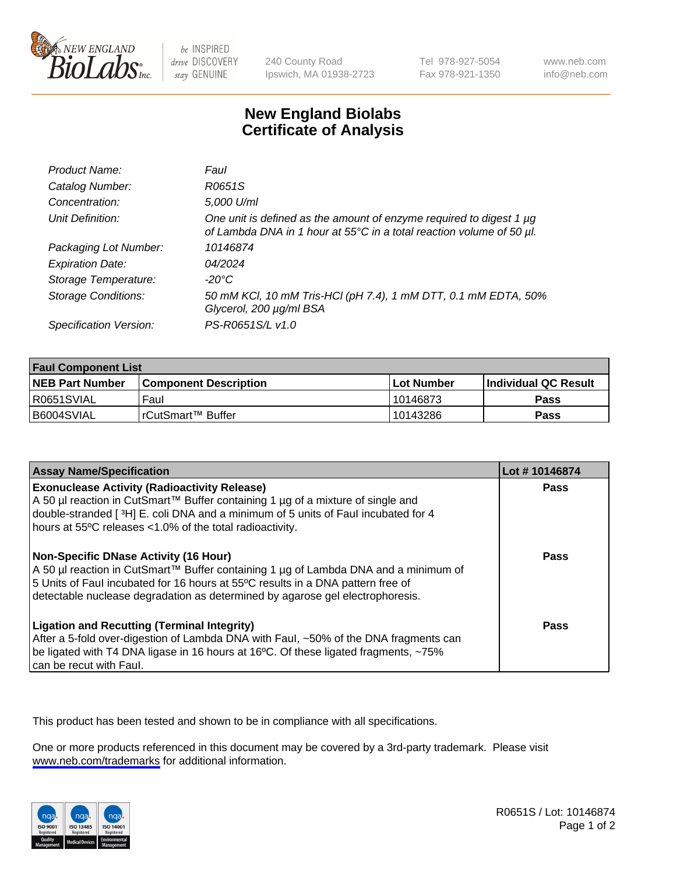

be INSPIRED drive DISCOVERY stay GENUINE

240 County Road Ipswich, MA 01938-2723 Tel 978-927-5054 Fax 978-921-1350

www.neb.com info@neb.com

## **New England Biolabs Certificate of Analysis**

| Product Name:              | Faul                                                                                                                                        |
|----------------------------|---------------------------------------------------------------------------------------------------------------------------------------------|
| Catalog Number:            | R0651S                                                                                                                                      |
| Concentration:             | 5,000 U/ml                                                                                                                                  |
| Unit Definition:           | One unit is defined as the amount of enzyme required to digest 1 µg<br>of Lambda DNA in 1 hour at 55°C in a total reaction volume of 50 µl. |
| Packaging Lot Number:      | 10146874                                                                                                                                    |
| <b>Expiration Date:</b>    | 04/2024                                                                                                                                     |
| Storage Temperature:       | -20°C                                                                                                                                       |
| <b>Storage Conditions:</b> | 50 mM KCl, 10 mM Tris-HCl (pH 7.4), 1 mM DTT, 0.1 mM EDTA, 50%<br>Glycerol, 200 µg/ml BSA                                                   |
| Specification Version:     | PS-R0651S/L v1.0                                                                                                                            |

| <b>Faul Component List</b> |                              |              |                       |  |
|----------------------------|------------------------------|--------------|-----------------------|--|
| <b>NEB Part Number</b>     | <b>Component Description</b> | l Lot Number | ∣Individual QC Result |  |
| R0651SVIAL                 | Faul                         | 10146873     | Pass                  |  |
| B6004SVIAL                 | l rCutSmart™ Buffer          | 10143286     | Pass                  |  |

| <b>Assay Name/Specification</b>                                                                                                                                                                                                                                                                           | Lot #10146874 |
|-----------------------------------------------------------------------------------------------------------------------------------------------------------------------------------------------------------------------------------------------------------------------------------------------------------|---------------|
| <b>Exonuclease Activity (Radioactivity Release)</b><br>A 50 µl reaction in CutSmart™ Buffer containing 1 µg of a mixture of single and<br>double-stranded [3H] E. coli DNA and a minimum of 5 units of Faul incubated for 4<br>hours at 55°C releases <1.0% of the total radioactivity.                   | Pass          |
| <b>Non-Specific DNase Activity (16 Hour)</b><br>  A 50 µl reaction in CutSmart™ Buffer containing 1 µg of Lambda DNA and a minimum of<br>5 Units of Faul incubated for 16 hours at 55°C results in a DNA pattern free of<br>detectable nuclease degradation as determined by agarose gel electrophoresis. | Pass          |
| <b>Ligation and Recutting (Terminal Integrity)</b><br>After a 5-fold over-digestion of Lambda DNA with Faul, ~50% of the DNA fragments can<br>be ligated with T4 DNA ligase in 16 hours at 16°C. Of these ligated fragments, ~75%<br>can be recut with Faul.                                              | Pass          |

This product has been tested and shown to be in compliance with all specifications.

One or more products referenced in this document may be covered by a 3rd-party trademark. Please visit <www.neb.com/trademarks>for additional information.